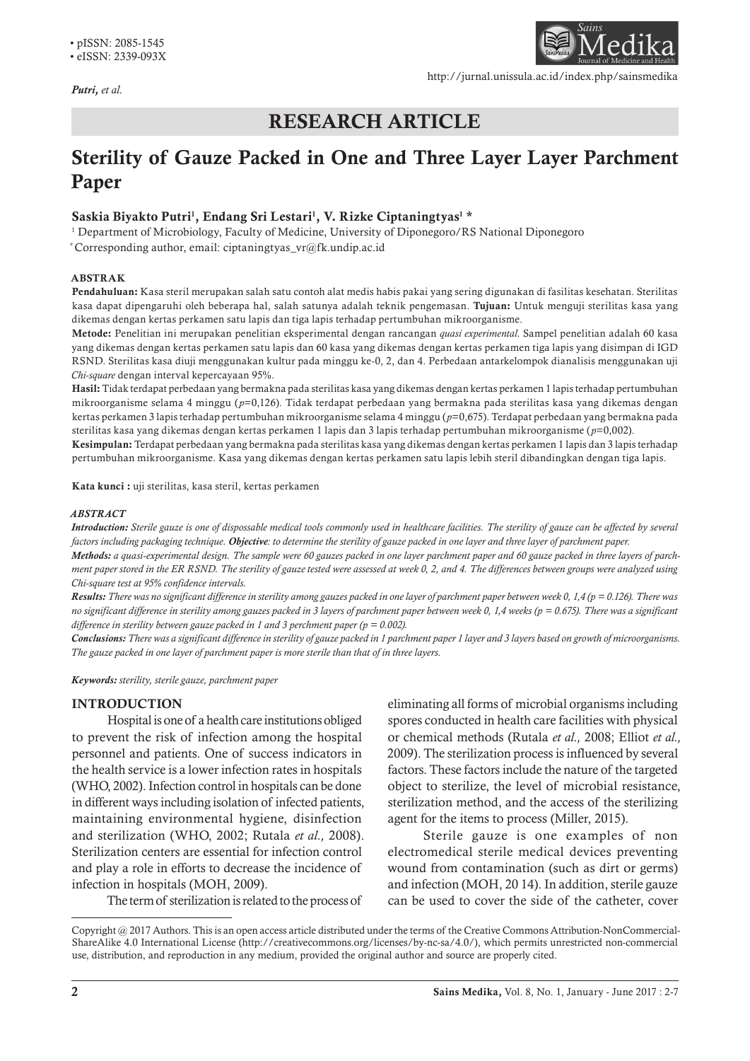*Putri, et al.*



http://jurnal.unissula.ac.id/index.php/sainsmedika

# RESEARCH ARTICLE

# Sterility of Gauze Packed in One and Three Layer Layer Parchment Paper

## Saskia Biyakto Putri<sup>1</sup>, Endang Sri Lestari<sup>1</sup>, V. Rizke Ciptaningtyas<sup>1</sup> \*

1 Department of Microbiology, Faculty of Medicine, University of Diponegoro/RS National Diponegoro \* Corresponding author, email: ciptaningtyas\_vr@fk.undip.ac.id

#### ABSTRAK

Pendahuluan: Kasa steril merupakan salah satu contoh alat medis habis pakai yang sering digunakan di fasilitas kesehatan. Sterilitas kasa dapat dipengaruhi oleh beberapa hal, salah satunya adalah teknik pengemasan. Tujuan: Untuk menguji sterilitas kasa yang dikemas dengan kertas perkamen satu lapis dan tiga lapis terhadap pertumbuhan mikroorganisme.

Metode: Penelitian ini merupakan penelitian eksperimental dengan rancangan *quasi experimental.* Sampel penelitian adalah 60 kasa yang dikemas dengan kertas perkamen satu lapis dan 60 kasa yang dikemas dengan kertas perkamen tiga lapis yang disimpan di IGD RSND. Sterilitas kasa diuji menggunakan kultur pada minggu ke-0, 2, dan 4. Perbedaan antarkelompok dianalisis menggunakan uji *Chi-square* dengan interval kepercayaan 95%.

Hasil: Tidak terdapat perbedaan yang bermakna pada sterilitas kasa yang dikemas dengan kertas perkamen 1 lapis terhadap pertumbuhan mikroorganisme selama 4 minggu (*p*=0,126). Tidak terdapat perbedaan yang bermakna pada sterilitas kasa yang dikemas dengan kertas perkamen 3 lapis terhadap pertumbuhan mikroorganisme selama 4 minggu (*p*=0,675). Terdapat perbedaan yang bermakna pada sterilitas kasa yang dikemas dengan kertas perkamen 1 lapis dan 3 lapis terhadap pertumbuhan mikroorganisme (*p*=0,002).

Kesimpulan: Terdapat perbedaan yang bermakna pada sterilitas kasa yang dikemas dengan kertas perkamen 1 lapis dan 3 lapis terhadap pertumbuhan mikroorganisme. Kasa yang dikemas dengan kertas perkamen satu lapis lebih steril dibandingkan dengan tiga lapis.

Kata kunci : uji sterilitas, kasa steril, kertas perkamen

#### *ABSTRACT*

*Introduction: Sterile gauze is one of dispossable medical tools commonly used in healthcare facilities. The sterility of gauze can be affected by several factors including packaging technique. Objective: to determine the sterility of gauze packed in one layer and three layer of parchment paper.* 

*Methods: a quasi-experimental design. The sample were 60 gauzes packed in one layer parchment paper and 60 gauze packed in three layers of parchment paper stored in the ER RSND. The sterility of gauze tested were assessed at week 0, 2, and 4. The differences between groups were analyzed using Chi-square test at 95% confidence intervals.*

*Results: There was no significant difference in sterility among gauzes packed in one layer of parchment paper between week 0, 1,4 (p = 0.126). There was no significant difference in sterility among gauzes packed in 3 layers of parchment paper between week 0, 1,4 weeks (p = 0.675). There was a significant difference in sterility between gauze packed in 1 and 3 perchment paper (p = 0.002).*

*Conclusions: There was a significant difference in sterility of gauze packed in 1 parchment paper 1 layer and 3 layers based on growth of microorganisms. The gauze packed in one layer of parchment paper is more sterile than that of in three layers.*

*Keywords: sterility, sterile gauze, parchment paper*

#### INTRODUCTION

Hospital is one of a health care institutions obliged to prevent the risk of infection among the hospital personnel and patients. One of success indicators in the health service is a lower infection rates in hospitals (WHO, 2002). Infection control in hospitals can be done in different ways including isolation of infected patients, maintaining environmental hygiene, disinfection and sterilization (WHO, 2002; Rutala *et al.,* 2008). Sterilization centers are essential for infection control and play a role in efforts to decrease the incidence of infection in hospitals (MOH, 2009).

The term of sterilization is related to the process of

eliminating all forms of microbial organisms including spores conducted in health care facilities with physical or chemical methods (Rutala *et al.,* 2008; Elliot *et al.,*  2009). The sterilization process is influenced by several factors. These factors include the nature of the targeted object to sterilize, the level of microbial resistance, sterilization method, and the access of the sterilizing agent for the items to process (Miller, 2015).

Sterile gauze is one examples of non electromedical sterile medical devices preventing wound from contamination (such as dirt or germs) and infection (MOH, 20 14). In addition, sterile gauze can be used to cover the side of the catheter, cover

Copyright @ 2017 Authors. This is an open access article distributed under the terms of the Creative Commons Attribution-NonCommercial-ShareAlike 4.0 International License (http://creativecommons.org/licenses/by-nc-sa/4.0/), which permits unrestricted non-commercial use, distribution, and reproduction in any medium, provided the original author and source are properly cited.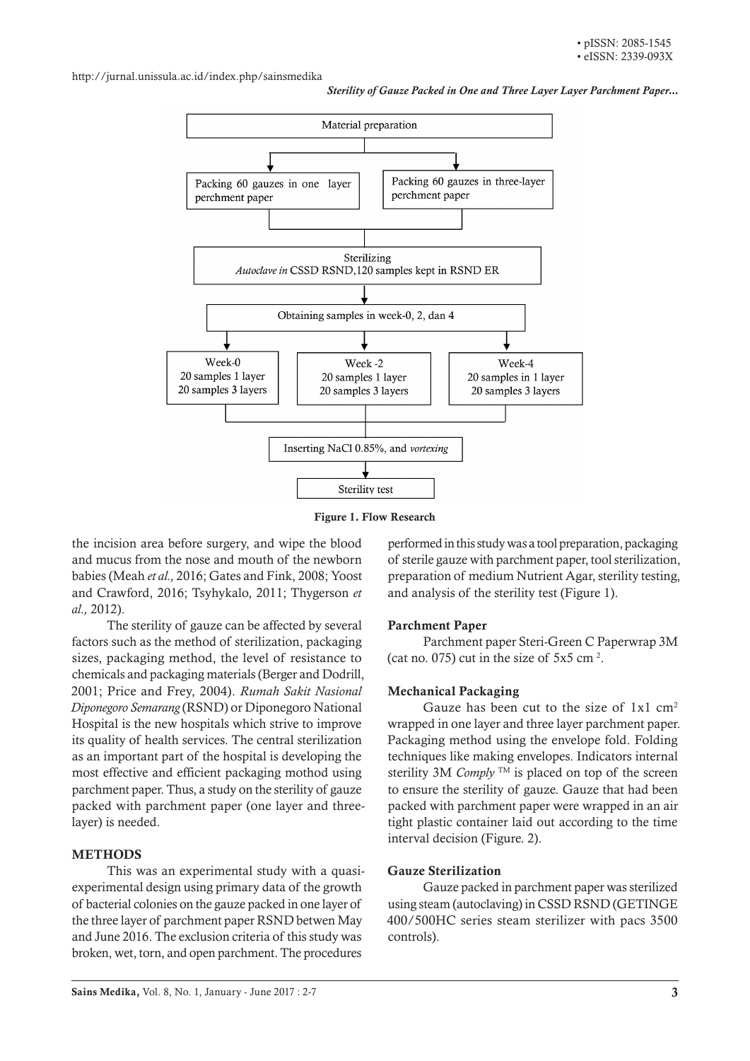http://jurnal.unissula.ac.id/index.php/sainsmedika

*Sterility of Gauze Packed in One and Three Layer Layer Parchment Paper...*



Figure 1. Flow Research

the incision area before surgery, and wipe the blood and mucus from the nose and mouth of the newborn babies (Meah *et al.,* 2016; Gates and Fink, 2008; Yoost and Crawford, 2016; Tsyhykalo, 2011; Thygerson *et al.,* 2012).

The sterility of gauze can be affected by several factors such as the method of sterilization, packaging sizes, packaging method, the level of resistance to chemicals and packaging materials (Berger and Dodrill, 2001; Price and Frey, 2004). *Rumah Sakit Nasional Diponegoro Semarang* (RSND) or Diponegoro National Hospital is the new hospitals which strive to improve its quality of health services. The central sterilization as an important part of the hospital is developing the most effective and efficient packaging mothod using parchment paper. Thus, a study on the sterility of gauze packed with parchment paper (one layer and threelayer) is needed.

## **METHODS**

This was an experimental study with a quasiexperimental design using primary data of the growth of bacterial colonies on the gauze packed in one layer of the three layer of parchment paper RSND betwen May and June 2016. The exclusion criteria of this study was broken, wet, torn, and open parchment. The procedures

performed in this study was a tool preparation, packaging of sterile gauze with parchment paper, tool sterilization, preparation of medium Nutrient Agar, sterility testing, and analysis of the sterility test (Figure 1).

## Parchment Paper

Parchment paper Steri-Green C Paperwrap 3M (cat no. 075) cut in the size of  $5x5$  cm<sup>2</sup>.

### Mechanical Packaging

Gauze has been cut to the size of  $1x1 \text{ cm}^2$ wrapped in one layer and three layer parchment paper. Packaging method using the envelope fold. Folding techniques like making envelopes. Indicators internal sterility 3M *Comply*  $TM$  is placed on top of the screen to ensure the sterility of gauze. Gauze that had been packed with parchment paper were wrapped in an air tight plastic container laid out according to the time interval decision (Figure. 2).

#### Gauze Sterilization

Gauze packed in parchment paper was sterilized using steam (autoclaving) in CSSD RSND (GETINGE 400/500HC series steam sterilizer with pacs 3500 controls).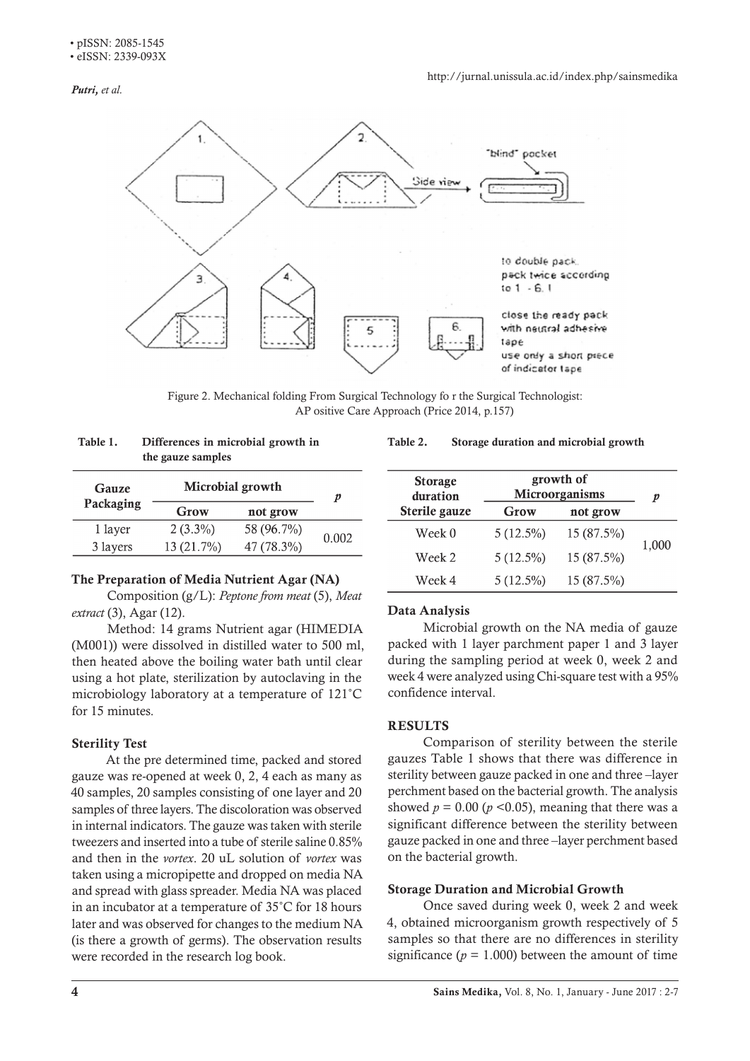*Putri, et al.*



Figure 2. Mechanical folding From Surgical Technology fo r the Surgical Technologist: AP ositive Care Approach (Price 2014, p.157)

| the gauze samples |                  |            |       |  |
|-------------------|------------------|------------|-------|--|
| Gauze             | Microbial growth | p          |       |  |
| Packaging         | Grow             | not grow   |       |  |
| 1 layer           | $2(3.3\%)$       | 58 (96.7%) |       |  |
| 3 layers          | 13 (21.7%)       | 47 (78.3%) | 0.002 |  |
|                   |                  |            |       |  |

# Table 1. Differences in microbial growth in the gauze samples

## The Preparation of Media Nutrient Agar (NA)

Composition (g/L): *Peptone from meat* (5), *Meat extract* (3), Agar (12).

Method: 14 grams Nutrient agar (HIMEDIA (M001)) were dissolved in distilled water to 500 ml, then heated above the boiling water bath until clear using a hot plate, sterilization by autoclaving in the microbiology laboratory at a temperature of 121˚C for 15 minutes.

# Sterility Test

At the pre determined time, packed and stored gauze was re-opened at week 0, 2, 4 each as many as 40 samples, 20 samples consisting of one layer and 20 samples of three layers. The discoloration was observed in internal indicators. The gauze was taken with sterile tweezers and inserted into a tube of sterile saline 0.85% and then in the *vortex*. 20 uL solution of *vortex* was taken using a micropipette and dropped on media NA and spread with glass spreader. Media NA was placed in an incubator at a temperature of 35˚C for 18 hours later and was observed for changes to the medium NA (is there a growth of germs). The observation results were recorded in the research log book.

# significance ( $p = 1.000$ ) between the amount of time

Once saved during week 0, week 2 and week

# Table 2. Storage duration and microbial growth

| <b>Storage</b><br>duration | growth of<br>Microorganisms |            | p     |
|----------------------------|-----------------------------|------------|-------|
| Sterile gauze              | Grow                        | not grow   |       |
| Week 0                     | $5(12.5\%)$                 | 15 (87.5%) |       |
| Week 2                     | $5(12.5\%)$                 | 15 (87.5%) | 1,000 |
| Week 4                     | $5(12.5\%)$                 | 15 (87.5%) |       |

# Data Analysis

Microbial growth on the NA media of gauze packed with 1 layer parchment paper 1 and 3 layer during the sampling period at week 0, week 2 and week 4 were analyzed using Chi-square test with a 95% confidence interval.

# **RESULTS**

Comparison of sterility between the sterile gauzes Table 1 shows that there was difference in sterility between gauze packed in one and three –layer perchment based on the bacterial growth. The analysis showed  $p = 0.00$  ( $p < 0.05$ ), meaning that there was a significant difference between the sterility between gauze packed in one and three –layer perchment based on the bacterial growth.

Storage Duration and Microbial Growth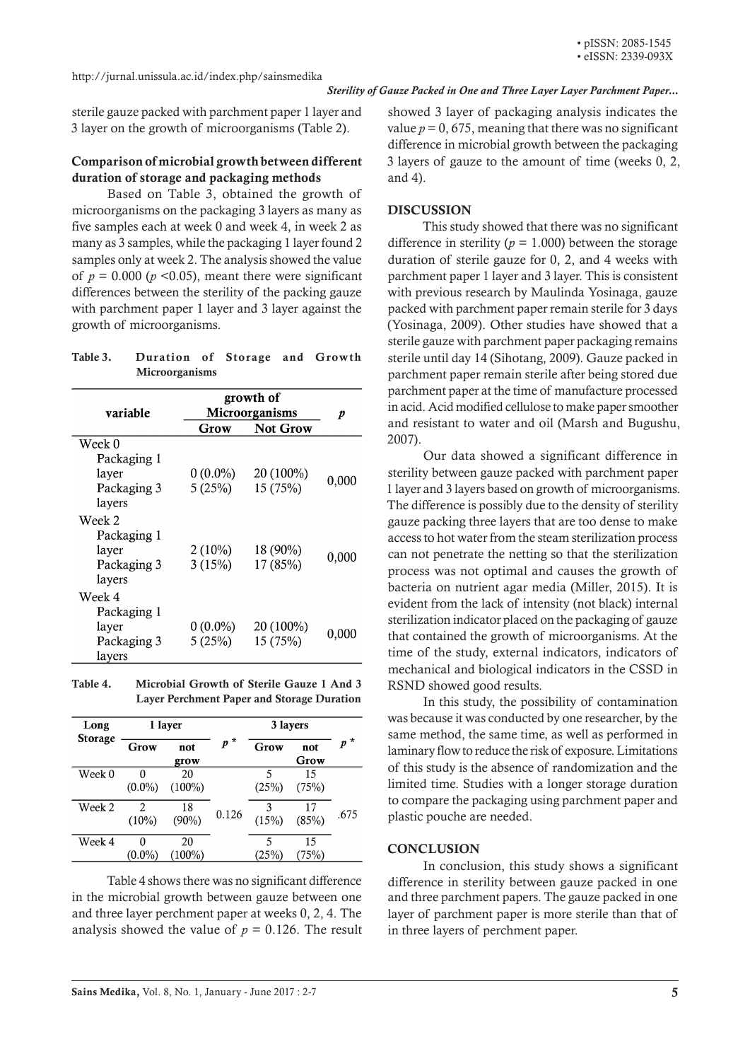*Sterility of Gauze Packed in One and Three Layer Layer Parchment Paper...*

sterile gauze packed with parchment paper 1 layer and 3 layer on the growth of microorganisms (Table 2).

## Comparison of microbial growth between different duration of storage and packaging methods

Based on Table 3, obtained the growth of microorganisms on the packaging 3 layers as many as five samples each at week 0 and week 4, in week 2 as many as 3 samples, while the packaging 1 layer found 2 samples only at week 2. The analysis showed the value of  $p = 0.000$  ( $p < 0.05$ ), meant there were significant differences between the sterility of the packing gauze with parchment paper 1 layer and 3 layer against the growth of microorganisms.

| Table 3. | Duration of Storage and Growth |  |  |
|----------|--------------------------------|--|--|
|          | <b>Microorganisms</b>          |  |  |

| variable    | growth of<br><b>Microorganisms</b> | p         |       |
|-------------|------------------------------------|-----------|-------|
|             | <b>Not Grow</b><br>Grow            |           |       |
| Week 0      |                                    |           |       |
| Packaging 1 |                                    |           |       |
| layer       | $0(0.0\%)$                         | 20 (100%) | 0,000 |
| Packaging 3 | 5(25%)                             | 15 (75%)  |       |
| layers      |                                    |           |       |
| Week 2      |                                    |           |       |
| Packaging 1 |                                    |           |       |
| layer       | $2(10\%)$                          | 18 (90%)  |       |
| Packaging 3 | 3(15%)                             | 17 (85%)  | 0,000 |
| layers      |                                    |           |       |
| Week 4      |                                    |           |       |
| Packaging 1 |                                    |           |       |
| layer       | $0(0.0\%)$                         | 20 (100%) |       |
| Packaging 3 | 5(25%)                             | 15 (75%)  | 0,000 |
| layers      |                                    |           |       |

Table 4. Microbial Growth of Sterile Gauze 1 And 3 Layer Perchment Paper and Storage Duration

| Long<br><b>Storage</b> | 1 layer       |                 |       | 3 layers   |               |       |
|------------------------|---------------|-----------------|-------|------------|---------------|-------|
|                        | Grow          | not<br>grow     | $p^*$ | Grow       | not<br>Grow   | $p^*$ |
| Week 0                 | $(0.0\%)$     | 20<br>$(100\%)$ |       | 5<br>(25%) | 15<br>(75%)   |       |
| Week 2                 | 2<br>$(10\%)$ | 18<br>$(90\%)$  | 0.126 | ٩<br>(15%) | 17<br>(85%)   | .675  |
| Week 4                 | $(0.0\%)$     | 20<br>100%)     |       | 5<br>25%   | 15<br>$75\%)$ |       |

Table 4 shows there was no significant difference in the microbial growth between gauze between one and three layer perchment paper at weeks 0, 2, 4. The analysis showed the value of  $p = 0.126$ . The result showed 3 layer of packaging analysis indicates the value  $p = 0$ , 675, meaning that there was no significant difference in microbial growth between the packaging 3 layers of gauze to the amount of time (weeks 0, 2, and 4).

#### **DISCUSSION**

This study showed that there was no significant difference in sterility ( $p = 1.000$ ) between the storage duration of sterile gauze for 0, 2, and 4 weeks with parchment paper 1 layer and 3 layer. This is consistent with previous research by Maulinda Yosinaga, gauze packed with parchment paper remain sterile for 3 days (Yosinaga, 2009). Other studies have showed that a sterile gauze with parchment paper packaging remains sterile until day 14 (Sihotang, 2009). Gauze packed in parchment paper remain sterile after being stored due parchment paper at the time of manufacture processed in acid. Acid modified cellulose to make paper smoother and resistant to water and oil (Marsh and Bugushu, 2007).

Our data showed a significant difference in sterility between gauze packed with parchment paper 1 layer and 3 layers based on growth of microorganisms. The difference is possibly due to the density of sterility gauze packing three layers that are too dense to make access to hot water from the steam sterilization process can not penetrate the netting so that the sterilization process was not optimal and causes the growth of bacteria on nutrient agar media (Miller, 2015). It is evident from the lack of intensity (not black) internal sterilization indicator placed on the packaging of gauze that contained the growth of microorganisms. At the time of the study, external indicators, indicators of mechanical and biological indicators in the CSSD in RSND showed good results.

In this study, the possibility of contamination was because it was conducted by one researcher, by the same method, the same time, as well as performed in laminary flow to reduce the risk of exposure. Limitations of this study is the absence of randomization and the limited time. Studies with a longer storage duration to compare the packaging using parchment paper and plastic pouche are needed.

#### **CONCLUSION**

In conclusion, this study shows a significant difference in sterility between gauze packed in one and three parchment papers. The gauze packed in one layer of parchment paper is more sterile than that of in three layers of perchment paper.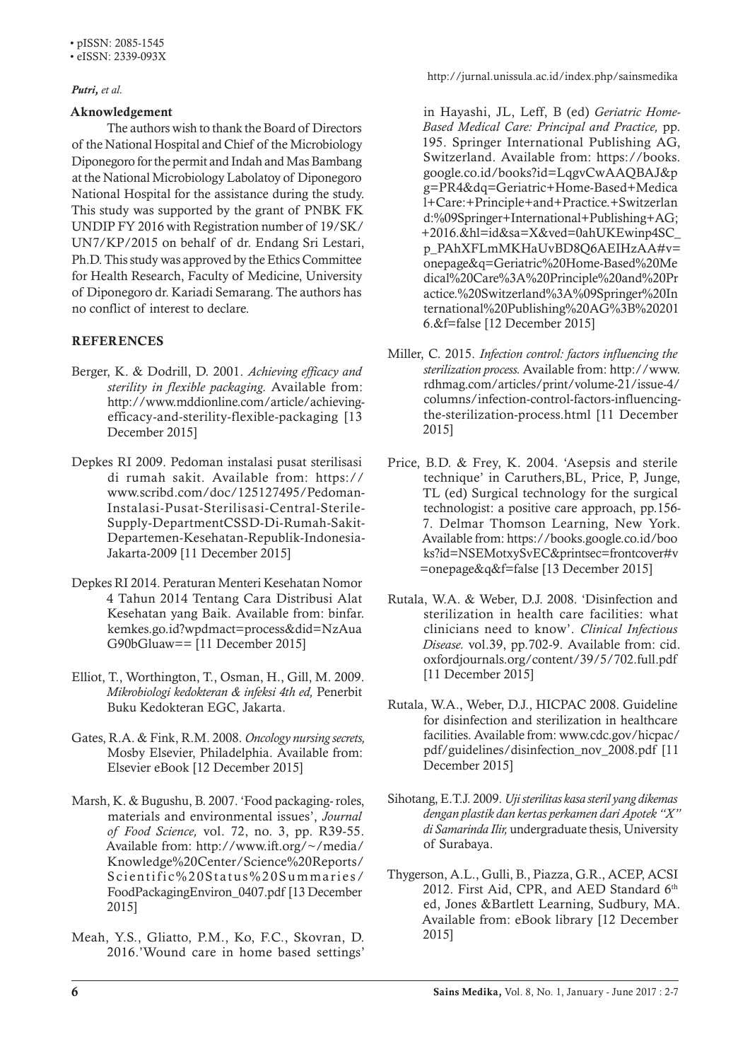• eISSN: 2339-093X

### *Putri, et al.*

## Aknowledgement

The authors wish to thank the Board of Directors of the National Hospital and Chief of the Microbiology Diponegoro for the permit and Indah and Mas Bambang at the National Microbiology Labolatoy of Diponegoro National Hospital for the assistance during the study. This study was supported by the grant of PNBK FK UNDIP FY 2016 with Registration number of 19/SK/ UN7/KP/2015 on behalf of dr. Endang Sri Lestari, Ph.D. This study was approved by the Ethics Committee for Health Research, Faculty of Medicine, University of Diponegoro dr. Kariadi Semarang. The authors has no conflict of interest to declare.

# **REFERENCES**

- Berger, K. & Dodrill, D. 2001. *Achieving efficacy and sterility in flexible packaging.* Available from: http://www.mddionline.com/article/achievingefficacy-and-sterility-flexible-packaging [13 December 2015]
- Depkes RI 2009. Pedoman instalasi pusat sterilisasi di rumah sakit. Available from: https:// www.scribd.com/doc/125127495/Pedoman-Instalasi-Pusat-Sterilisasi-Central-Sterile-Supply-DepartmentCSSD-Di-Rumah-Sakit-Departemen-Kesehatan-Republik-Indonesia-Jakarta-2009 [11 December 2015]
- Depkes RI 2014. Peraturan Menteri Kesehatan Nomor 4 Tahun 2014 Tentang Cara Distribusi Alat Kesehatan yang Baik. Available from: binfar. kemkes.go.id?wpdmact=process&did=NzAua G90bGluaw== [11 December 2015]
- Elliot, T., Worthington, T., Osman, H., Gill, M. 2009. *Mikrobiologi kedokteran & infeksi 4th ed,* Penerbit Buku Kedokteran EGC, Jakarta.
- Gates, R.A. & Fink, R.M. 2008. *Oncology nursing secrets,*  Mosby Elsevier, Philadelphia. Available from: Elsevier eBook [12 December 2015]
- Marsh, K. & Bugushu, B. 2007. 'Food packaging- roles, materials and environmental issues', *Journal of Food Science,* vol. 72, no. 3, pp. R39-55. Available from: http://www.ift.org/~/media/ Knowledge%20Center/Science%20Reports/ Scientific%20Status%20Summaries/ FoodPackagingEnviron\_0407.pdf [13 December 2015]
- Meah, Y.S., Gliatto, P.M., Ko, F.C., Skovran, D. 2016.'Wound care in home based settings'

http://jurnal.unissula.ac.id/index.php/sainsmedika

in Hayashi, JL, Leff, B (ed) *Geriatric Home-Based Medical Care: Principal and Practice,* pp. 195. Springer International Publishing AG, Switzerland. Available from: https://books. google.co.id/books?id=LqgvCwAAQBAJ&p g=PR4&dq=Geriatric+Home-Based+Medica l+Care:+Principle+and+Practice.+Switzerlan d:%09Springer+International+Publishing+AG; +2016.&hl=id&sa=X&ved=0ahUKEwinp4SC\_ p\_PAhXFLmMKHaUvBD8Q6AEIHzAA#v= onepage&q=Geriatric%20Home-Based%20Me dical%20Care%3A%20Principle%20and%20Pr actice.%20Switzerland%3A%09Springer%20In ternational%20Publishing%20AG%3B%20201 6.&f=false [12 December 2015]

- Miller, C. 2015. *Infection control: factors influencing the sterilization process.* Available from: http://www. rdhmag.com/articles/print/volume-21/issue-4/ columns/infection-control-factors-influencingthe-sterilization-process.html [11 December 2015]
- Price, B.D. & Frey, K. 2004. 'Asepsis and sterile technique' in Caruthers,BL, Price, P, Junge, TL (ed) Surgical technology for the surgical technologist: a positive care approach, pp.156- 7. Delmar Thomson Learning, New York. Available from: https://books.google.co.id/boo ks?id=NSEMotxySvEC&printsec=frontcover#v =onepage&q&f=false [13 December 2015]
- Rutala, W.A. & Weber, D.J. 2008. 'Disinfection and sterilization in health care facilities: what clinicians need to know'. *Clinical Infectious Disease.* vol.39, pp.702-9. Available from: cid. oxfordjournals.org/content/39/5/702.full.pdf [11 December 2015]
- Rutala, W.A., Weber, D.J., HICPAC 2008. Guideline for disinfection and sterilization in healthcare facilities. Available from: www.cdc.gov/hicpac/ pdf/guidelines/disinfection\_nov\_2008.pdf [11 December 2015]
- Sihotang, E.T.J. 2009. *Uji sterilitas kasa steril yang dikemas dengan plastik dan kertas perkamen dari Apotek "X" di Samarinda Ilir,* undergraduate thesis, University of Surabaya.
- Thygerson, A.L., Gulli, B., Piazza, G.R., ACEP, ACSI 2012. First Aid, CPR, and AED Standard 6th ed, Jones &Bartlett Learning, Sudbury, MA. Available from: eBook library [12 December 2015]